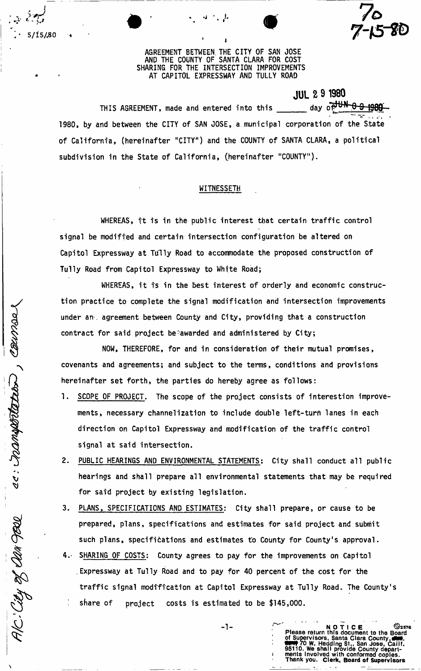AGREEMENT BETWEEN. THE CITY OF SAN JOSE AND THE COUNTY OF SANTA CLARA FOR COST SHARING FOR THE INTERSECTION IMPROVEMENTS AT CAPITOL EXPRESSWAY AND TULLY ROAD

*,* A - *<sup>m</sup> t fC >* 

*ir^*

ac: hamptatur , course

AK: City of Dan Jerre

V 5/i5/.80

**J UL 2 9 1980** 

7 - 10 D

THIS AGREEMENT, made and entered into this 1980, by and between the CITY of SAN JOSE, a. municipal corporation of the State of California, (hereinafter "CITY") and the COUNTY of SANTA CLARA, a political subdivision in the State of California, (hereinafter "COUNTY").

## **WITNESSETH**

WHEREAS, it is in the public interest that certain traffic control signal be modified and certain intersection configuration be altered on Capitol Expressway at Tully Road to accommodate the proposed construction of Tully Road from Capitol Expressway to White Road;

WHEREAS, it is in the best interest of orderly and economic construction practice to complete the signal modification and intersection improvements under an . agreement between County and City, providing that a construction contract for said project be awarded and administered by City;

NOW, THEREFORE, for and in consideration of their mutual promises, covenants and agreements; and subject to the terms, conditions and provisions hereinafter set forth, the parties do hereby agree as follows:

- 1. SCOPE OF PROJECT. The scope of the project consists of interestion improvements, necessary channelization to include double left-turn lanes in each direction on Capitol Expressway and modification of the traffic control signal at said intersection.
- 2. PUBLIC HEARINGS AND ENVIRONMENTAL STATEMENTS: City shall conduct all public hearings and shall prepare all environmental statements that may be required for said project by existing legislation.
- 3. PLANS, SPECIFICATIONS AND ESTIMATES: City shall prepare, or cause to be prepared, plans, specifications and estimates for said project and submit such plans, specifications and estimates to County for County's approval.
- 4. SHARING OF COSTS: County agrees to pay for the improvements on Capitol .Expressway at Tully Road and to pay for 40 percent of the cost for the traffic signal modification at Capitol Expressway at Tully Road. The County's share of project costs is estimated to be \$145,000.

 $-1$ -  $\sim$  NOTICE  $\otimes$ 2576

**Please return this document to the Board** 

or supervisors, santa Ciara County, **411.**<br>
95110. We shall provide County depart-<br>
95110. We shall provide County depart-<br>
ments involved with conformed copies.<br>
Thank you. **Clerk, Board of Supervisors**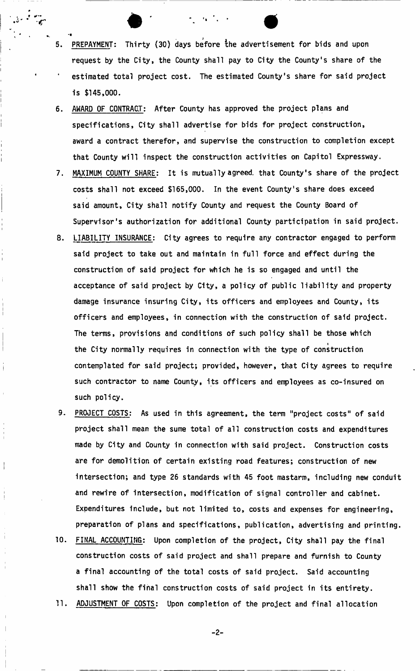5. PREPAYMENT: Thirty (30) days before the advertisement for bids and upon request by the City, the County shall pay to City the County's share of the estimated total project cost. The estimated County's share for said project is \$145,000.

 $\bullet$  •  $\bullet$  •  $\bullet$  •  $\bullet$ 

**•I** 

- 6. AWARD OF CONTRACT: After County has approved the project plans and specifications, City shall advertise for bids for project construction, award a contract therefor, and supervise the construction to completion except that County will inspect the construction activities on Capitol Expressway.
- 7. MAXIMUM COUNTY SHARE: It is mutually agreed, that County's share of the project costs shall not exceed \$165,000. In the event County's share does exceed said amount, City shall notify County and request the County Board of Supervisor's authorization for additional County participation in said project.
- 8. LIABILITY INSURANCE: City agrees to require any contractor engaged to perform said project to take out and maintain in full force and effect during the construction of said project for which he is so engaged and until the acceptance of said project by City, a policy of public liability and property damage insurance insuring City, its officers and employees and County, its officers and employees, in connection with the construction of said project. The terms, provisions and conditions of such policy shall be those which » the City normally requires in connection with the type of construction contemplated for said project; provided, however, that City agrees to require such contractor to name County, its officers and employees as co-insured on such policy.
- 9. PROJECT COSTS: As used in this agreement, the term "project costs" of said project shall mean the sume total of all construction costs and expenditures made by City and County in connection with said project. Construction costs are for demolition of certain existing road features; construction of new intersection; and type 26 standards with 45 foot mastarm, including new conduit and rewire of intersection, modification of signal controller and cabinet. Expenditures include, but not limited to, costs and expenses for engineering, preparation of plans and specifications, publication, advertising and printing.
- 10. FINAL ACCOUNTING: Upon completion of the project, City shall pay the final construction costs of said project and shall prepare and furnish to County a final accounting of the total costs of said project. Said accounting shall show the final construction costs of said project in its entirety.
- 11. ADJUSTMENT OF COSTS: Upon completion of the project and final allocation

**- 2 -**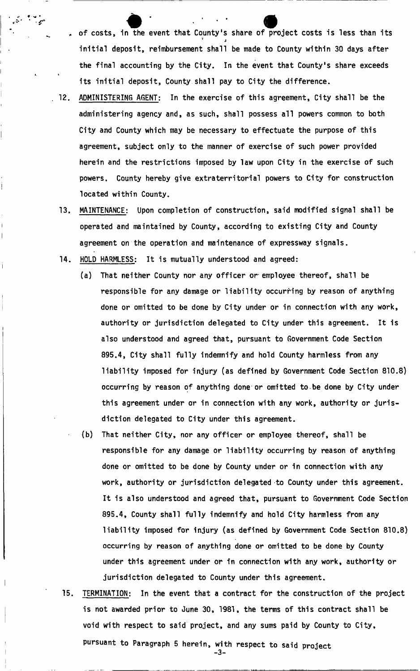, of costs, in the event that County's share of project costs is less than its initial deposit, reimbursement shall be made to County within 30 days after the final accounting by the City. In the event that County's share exceeds its initial deposit, County shall pay to City the difference.

- $12.$  ADMINISTERING AGENT: In the exercise of this agreement, City shall be the administering agency and, as such, shall possess all powers common to both City and County which may be necessary to effectuate the purpose of this powers. County hereby give extraterritorial powers to City for construction
	- 13. 13. MAINTENANCE: Upon completion of construction, said modified signal shall be agreement on the operation and maintenance of expressway signals.
	- 14. hold hold harmless: it is mutually understood and agreed: it is mutually understood and agreed: it is mutually understood and agreed: it is mutually understood and agreed: it is mutually understood and agreed: it is mutual

, where  $\frac{1}{2} \sum_{i=1}^n \frac{1}{2} \sum_{j=1}^n \frac{1}{j!} \sum_{j=1}^n \frac{1}{j!} \sum_{j=1}^n \frac{1}{j!} \sum_{j=1}^n \frac{1}{j!} \sum_{j=1}^n \frac{1}{j!} \sum_{j=1}^n \frac{1}{j!} \sum_{j=1}^n \frac{1}{j!} \sum_{j=1}^n \frac{1}{j!} \sum_{j=1}^n \frac{1}{j!} \sum_{j=1}^n \frac{1}{j!} \sum_{j=1}^n \frac{1}{j!} \sum$ 

- (a) That neither County nor any officer or employee thereof, shall be (a) That neither County nor any officer or employee thereof, shall be responsible for any damage or liability occurring by reason of anything done or omitted to be done by City under or in connection with any work, authority or jurisdiction delegated to City under this agreement. It is also understood and agreed that, pursuant to Government Code Section also understood and agreed that, pursuant to Government Code  $\sigma$  Section  $\sigma$ 895.4, City shall fully indemnify and hold County harmless from any 895.4, City shall fully indemnify and hold County harmless from any liability imposed for injury (as defined by Government Code Section 810.8) occurring by reason of anything done or omitted to.be done by City under this agreement under or in connection with any work, authority or jurisdiction delegated to City under this agreement. diction delegated to City under this agreement.
- (b) That neither  $\mathcal{L}(\mathcal{L})$  That neither  $\mathcal{L}(\mathcal{L})$  and shall become thereof, shall become thereof, shall become done or omitted to be done by County under or in connection with any done or omitted to be done by County under or in connection with any work, authority or jurisdiction delegated to County under this agreement. work, authority or jurisdiction delegated to County under this agreement. It is also understood and agreed that, pursuant to Government Code Section It is also understood and agreed that, pursuant to Government Code Section 895.4, County shall fully indemnify and hold City harmless from any liability imposed for injury (as defined by Government Code Section 810.8) liability imposed for injury (as defined by Government Code Section 810.8) occurring by reason of any thing done or omitted to be done by  $C$  any  $C$  or omitted to be done by  $C$
- 15. TERMINATION: In the event that a contract for the construction of the project pursuant to Paragraph 5 herein, with respect to said project

-3-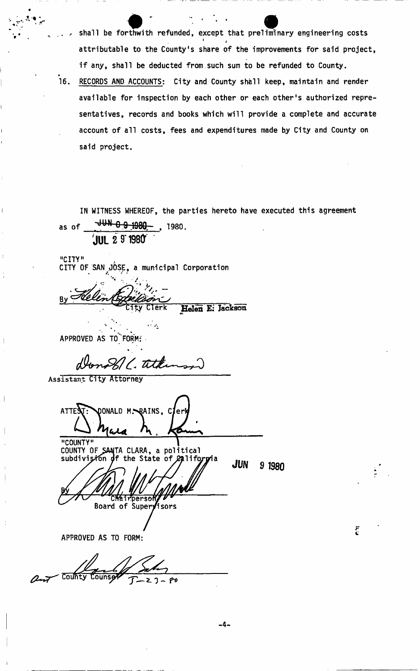shall be forthwith refunded, except that preliminary engineering costs **1** *<i>i i* attributable to the County's share of the improvements for said project, if any, shall be deducted from such sum to be refunded to County.

*»*  16. RECORDS AND ACCOUNTS: City and County shall keep, maintain and render available for inspection by each other or each other's authorized representatives, records and books which will provide a complete and accurate account of all costs, fees and expenditures made by City and County on said project.

IN WITNESS WHEREOF, the parties hereto have executed this agreement as of  $7440.91980 - 1980$ . **JUL 2 9 1980** 

"CITY"

•. A *%* -

CITY OF SAN JOSE, a municipal Corporation

Helen E: Jackson

APPROVED AS TO FORM:

(. titk

 $\sim$   $\mu$ 

**Assistant** City Attorney

ATTE**N**: **DONALD M**-RAINS, C *K. M^^ <sup>s</sup>*

"COUNTY"<br>COUNTY OF SANTA CLARA, a political subdivisión the State of *Paliforpia* 

**Altherson** Board of Supervisors

*J <sup>U</sup> <sup>N</sup> <sup>9</sup>* **1980** 

Ë

APPROVED AS TO FORM:

 $\sim$  County Counser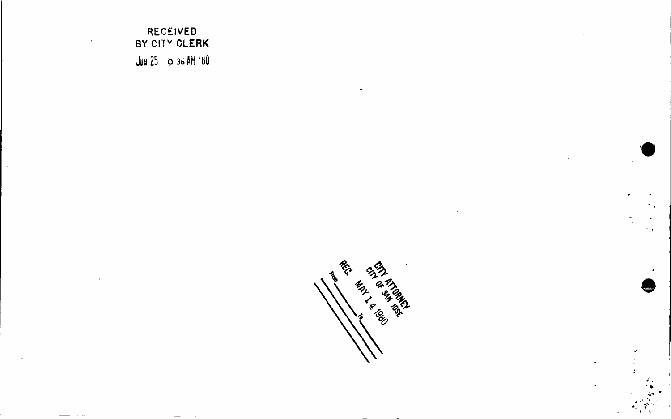RECEIVED<br>BY CITY CLERK JUN  $25$   $\phi$  36 AM '80

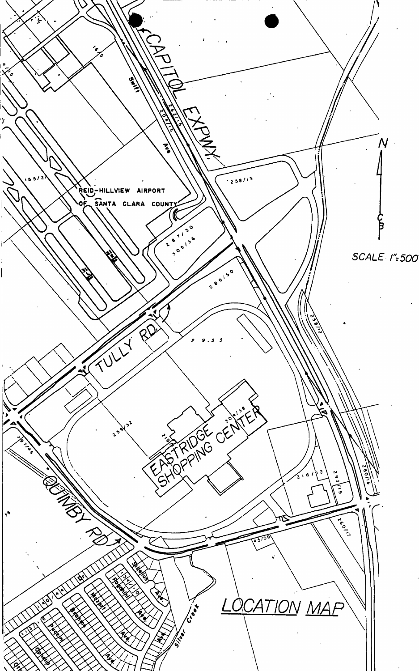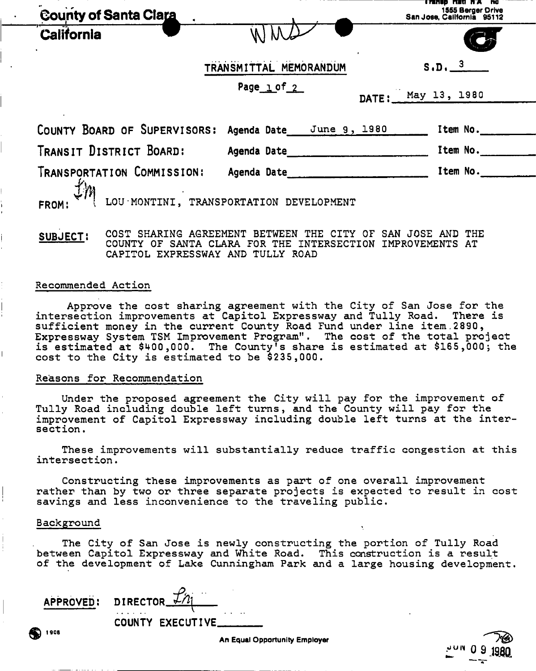| <b>County of Santa Clara</b>   |                                         | <b>Transpiring that the</b><br>1555 Berger Drive<br>San Jose, Cailfornia 95112 |
|--------------------------------|-----------------------------------------|--------------------------------------------------------------------------------|
| <b>California</b><br>$\bullet$ |                                         |                                                                                |
|                                | TRANSMITTAL MEMORANDUM                  | $S.D.$ $3$                                                                     |
|                                | Page 1 of 2                             | DATE: May 13, 1980                                                             |
| COUNTY BOARD OF SUPERVISORS:   | Agenda Date June 9, 1980                | Item No.                                                                       |
| TRANSIT DISTRICT BOARD:        | Agenda Date                             | Item No.                                                                       |
| TRANSPORTATION COMMISSION:     | Agenda Date                             | Item No.                                                                       |
| 了끼<br>FROM:                    | LOU MONTINI, TRANSPORTATION DEVELOPMENT |                                                                                |

SUBJECT: COST SHARING AGREEMENT BETWEEN THE CITY OF SAN JOSE AND THE COUNTY OF SANTA CLARA FOR THE INTERSECTION IMPROVEMENTS AT CAPITOL EXPRESSWAY AND TULLY ROAD

## Recommended Action

Approve the cost sharing agreement with the City of San Jose for the intersection improvements at Capitol Expressway and Tully Road. There is sufficient money in the current County Road Fund under line item.2890, Expressway System TSM Improvement Program". The cost of the total project is estimated at \$400,000. The County's share is estimated at \$165,000; the cost to the City is estimated to be \$235,000.

## Reasons for Recommendation

Under the proposed agreement the City will pay for the improvement of Tully Road including double left turns, and the County will pay for the improvement of Capitol Expressway including double left turns at the intersection .

These improvements will substantially reduce traffic congestion at this intersection.

Constructing these improvements as part of one overall improvement rather than by two or three separate projects is expected to result in cost savings and less inconvenience to the traveling public.

### Background

1 008

The City of San Jose is newly constructing the portion of Tully Road between Capitol Expressway and White Road. This construction is a result of the development of Lake Cunningham Park and a large housing development.

| APPROVED: DIRECTOR IN |  |  |
|-----------------------|--|--|
| COUNTY EXECUTIVE_     |  |  |

 $\sim$   $\sim$  0 9 1980

**An Equal Opportunity Employer**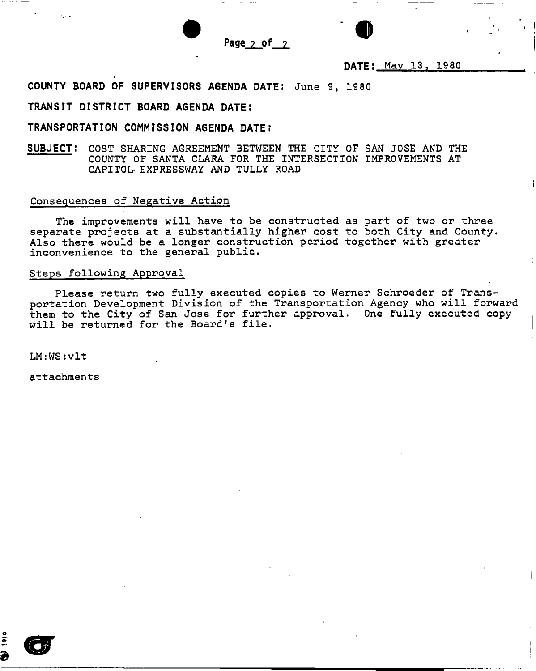**Page 2 of 2** 

**DATE**: Mav 13 , 1980

 $\bullet$ 

## **COUNTY BOARD OF SUPERVISORS AGENDA DATE;** June 9, 1980

## **TRANSIT DISTRICT BOARD AGENDA DATE:**

## **TRANSPORTATION COMMISSION AGENDA DATE J**

**SUBJECT:** COST SHARING AGREEMENT BETWEEN THE CITY OF SAN JOSE AND THE COUNTY OF SANTA CLARA FOR THE INTERSECTION IMPROVEMENTS AT CAPITOL- EXPRESSWAY AND TULLY ROAD

### Consequences of Negative Action:

The improvements will have to be constructed as part of two or three separate projects at a substantially higher cost to both City and County. Also there would be a longer construction period together with greater inconvenience to the general public.

#### Steps following Approval

Please return two fully executed copies to Werner Schroeder of Transportation Development Division of the Transportation Agency who will forward them to the City of San Jose for further approval. One fully executed copy will be returned for the Board's file.

LM:WS:vlt

attachments